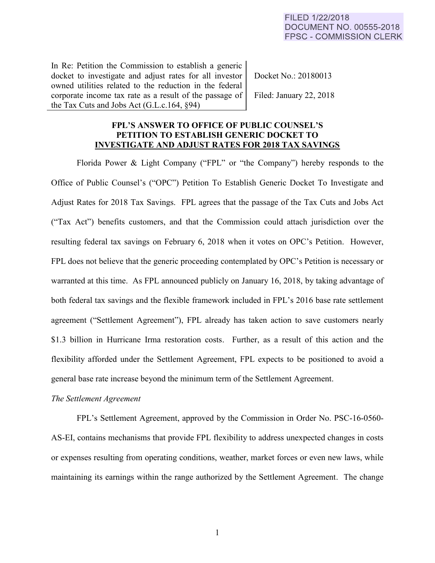In Re: Petition the Commission to establish a generic docket to investigate and adjust rates for all investor owned utilities related to the reduction in the federal corporate income tax rate as a result of the passage of the Tax Cuts and Jobs Act (G.L.c.164, §94)

Docket No.: 20180013

Filed: January 22, 2018

# **FPL'S ANSWER TO OFFICE OF PUBLIC COUNSEL'S PETITION TO ESTABLISH GENERIC DOCKET TO INVESTIGATE AND ADJUST RATES FOR 2018 TAX SAVINGS**

Florida Power & Light Company ("FPL" or "the Company") hereby responds to the Office of Public Counsel's ("OPC") Petition To Establish Generic Docket To Investigate and Adjust Rates for 2018 Tax Savings. FPL agrees that the passage of the Tax Cuts and Jobs Act ("Tax Act") benefits customers, and that the Commission could attach jurisdiction over the resulting federal tax savings on February 6, 2018 when it votes on OPC's Petition. However, FPL does not believe that the generic proceeding contemplated by OPC's Petition is necessary or warranted at this time. As FPL announced publicly on January 16, 2018, by taking advantage of both federal tax savings and the flexible framework included in FPL's 2016 base rate settlement agreement ("Settlement Agreement"), FPL already has taken action to save customers nearly \$1.3 billion in Hurricane Irma restoration costs. Further, as a result of this action and the flexibility afforded under the Settlement Agreement, FPL expects to be positioned to avoid a general base rate increase beyond the minimum term of the Settlement Agreement.

# *The Settlement Agreement*

FPL's Settlement Agreement, approved by the Commission in Order No. PSC-16-0560- AS-EI, contains mechanisms that provide FPL flexibility to address unexpected changes in costs or expenses resulting from operating conditions, weather, market forces or even new laws, while maintaining its earnings within the range authorized by the Settlement Agreement. The change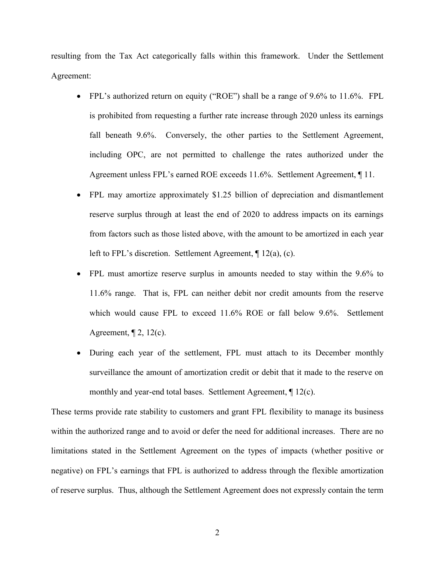resulting from the Tax Act categorically falls within this framework. Under the Settlement Agreement:

- FPL's authorized return on equity ("ROE") shall be a range of 9.6% to 11.6%. FPL is prohibited from requesting a further rate increase through 2020 unless its earnings fall beneath 9.6%. Conversely, the other parties to the Settlement Agreement, including OPC, are not permitted to challenge the rates authorized under the Agreement unless FPL's earned ROE exceeds 11.6%. Settlement Agreement, ¶ 11.
- FPL may amortize approximately \$1.25 billion of depreciation and dismantlement reserve surplus through at least the end of 2020 to address impacts on its earnings from factors such as those listed above, with the amount to be amortized in each year left to FPL's discretion. Settlement Agreement, ¶ 12(a), (c).
- FPL must amortize reserve surplus in amounts needed to stay within the 9.6% to 11.6% range. That is, FPL can neither debit nor credit amounts from the reserve which would cause FPL to exceed 11.6% ROE or fall below 9.6%. Settlement Agreement,  $\P$  2, 12(c).
- During each year of the settlement, FPL must attach to its December monthly surveillance the amount of amortization credit or debit that it made to the reserve on monthly and year-end total bases. Settlement Agreement, ¶ 12(c).

These terms provide rate stability to customers and grant FPL flexibility to manage its business within the authorized range and to avoid or defer the need for additional increases. There are no limitations stated in the Settlement Agreement on the types of impacts (whether positive or negative) on FPL's earnings that FPL is authorized to address through the flexible amortization of reserve surplus. Thus, although the Settlement Agreement does not expressly contain the term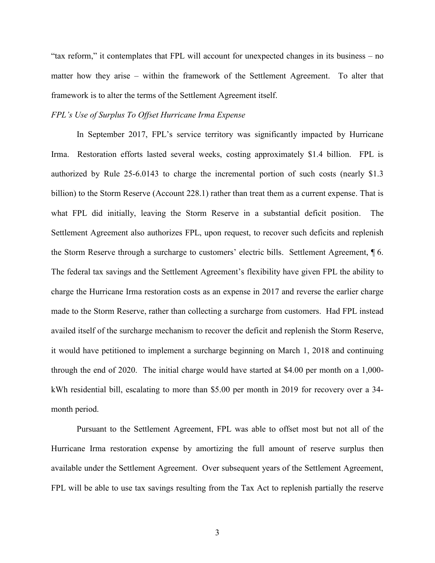"tax reform," it contemplates that FPL will account for unexpected changes in its business – no matter how they arise – within the framework of the Settlement Agreement. To alter that framework is to alter the terms of the Settlement Agreement itself.

### *FPL's Use of Surplus To Offset Hurricane Irma Expense*

In September 2017, FPL's service territory was significantly impacted by Hurricane Irma. Restoration efforts lasted several weeks, costing approximately \$1.4 billion. FPL is authorized by Rule 25-6.0143 to charge the incremental portion of such costs (nearly \$1.3 billion) to the Storm Reserve (Account 228.1) rather than treat them as a current expense. That is what FPL did initially, leaving the Storm Reserve in a substantial deficit position. The Settlement Agreement also authorizes FPL, upon request, to recover such deficits and replenish the Storm Reserve through a surcharge to customers' electric bills. Settlement Agreement, ¶ 6. The federal tax savings and the Settlement Agreement's flexibility have given FPL the ability to charge the Hurricane Irma restoration costs as an expense in 2017 and reverse the earlier charge made to the Storm Reserve, rather than collecting a surcharge from customers. Had FPL instead availed itself of the surcharge mechanism to recover the deficit and replenish the Storm Reserve, it would have petitioned to implement a surcharge beginning on March 1, 2018 and continuing through the end of 2020. The initial charge would have started at \$4.00 per month on a 1,000 kWh residential bill, escalating to more than \$5.00 per month in 2019 for recovery over a 34 month period.

Pursuant to the Settlement Agreement, FPL was able to offset most but not all of the Hurricane Irma restoration expense by amortizing the full amount of reserve surplus then available under the Settlement Agreement. Over subsequent years of the Settlement Agreement, FPL will be able to use tax savings resulting from the Tax Act to replenish partially the reserve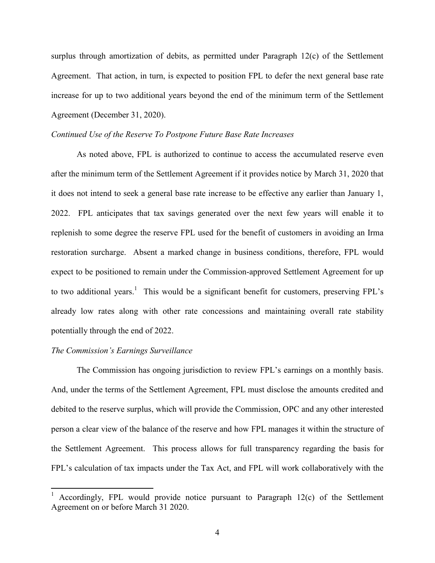surplus through amortization of debits, as permitted under Paragraph 12(c) of the Settlement Agreement. That action, in turn, is expected to position FPL to defer the next general base rate increase for up to two additional years beyond the end of the minimum term of the Settlement Agreement (December 31, 2020).

## *Continued Use of the Reserve To Postpone Future Base Rate Increases*

As noted above, FPL is authorized to continue to access the accumulated reserve even after the minimum term of the Settlement Agreement if it provides notice by March 31, 2020 that it does not intend to seek a general base rate increase to be effective any earlier than January 1, 2022. FPL anticipates that tax savings generated over the next few years will enable it to replenish to some degree the reserve FPL used for the benefit of customers in avoiding an Irma restoration surcharge. Absent a marked change in business conditions, therefore, FPL would expect to be positioned to remain under the Commission-approved Settlement Agreement for up to two additional years.<sup>1</sup> This would be a significant benefit for customers, preserving FPL's already low rates along with other rate concessions and maintaining overall rate stability potentially through the end of 2022.

#### *The Commission's Earnings Surveillance*

 $\overline{a}$ 

The Commission has ongoing jurisdiction to review FPL's earnings on a monthly basis. And, under the terms of the Settlement Agreement, FPL must disclose the amounts credited and debited to the reserve surplus, which will provide the Commission, OPC and any other interested person a clear view of the balance of the reserve and how FPL manages it within the structure of the Settlement Agreement. This process allows for full transparency regarding the basis for FPL's calculation of tax impacts under the Tax Act, and FPL will work collaboratively with the

<sup>1</sup> Accordingly, FPL would provide notice pursuant to Paragraph 12(c) of the Settlement Agreement on or before March 31 2020.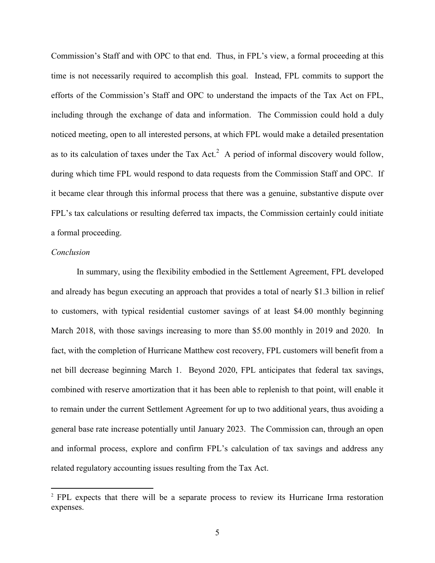Commission's Staff and with OPC to that end. Thus, in FPL's view, a formal proceeding at this time is not necessarily required to accomplish this goal. Instead, FPL commits to support the efforts of the Commission's Staff and OPC to understand the impacts of the Tax Act on FPL, including through the exchange of data and information. The Commission could hold a duly noticed meeting, open to all interested persons, at which FPL would make a detailed presentation as to its calculation of taxes under the Tax Act.<sup>2</sup> A period of informal discovery would follow, during which time FPL would respond to data requests from the Commission Staff and OPC. If it became clear through this informal process that there was a genuine, substantive dispute over FPL's tax calculations or resulting deferred tax impacts, the Commission certainly could initiate a formal proceeding.

### *Conclusion*

 $\overline{a}$ 

In summary, using the flexibility embodied in the Settlement Agreement, FPL developed and already has begun executing an approach that provides a total of nearly \$1.3 billion in relief to customers, with typical residential customer savings of at least \$4.00 monthly beginning March 2018, with those savings increasing to more than \$5.00 monthly in 2019 and 2020. In fact, with the completion of Hurricane Matthew cost recovery, FPL customers will benefit from a net bill decrease beginning March 1. Beyond 2020, FPL anticipates that federal tax savings, combined with reserve amortization that it has been able to replenish to that point, will enable it to remain under the current Settlement Agreement for up to two additional years, thus avoiding a general base rate increase potentially until January 2023. The Commission can, through an open and informal process, explore and confirm FPL's calculation of tax savings and address any related regulatory accounting issues resulting from the Tax Act.

<sup>2</sup> FPL expects that there will be a separate process to review its Hurricane Irma restoration expenses.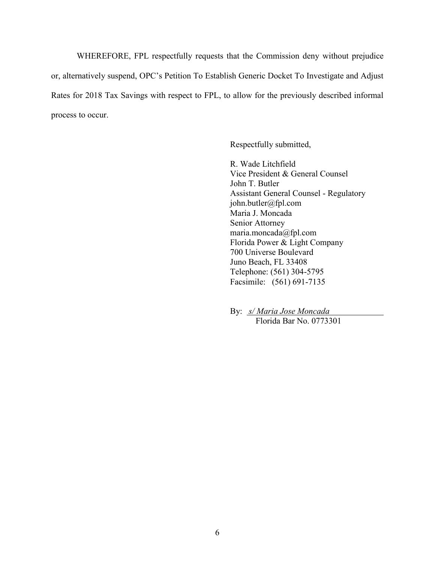WHEREFORE, FPL respectfully requests that the Commission deny without prejudice or, alternatively suspend, OPC's Petition To Establish Generic Docket To Investigate and Adjust Rates for 2018 Tax Savings with respect to FPL, to allow for the previously described informal process to occur.

Respectfully submitted,

R. Wade Litchfield Vice President & General Counsel John T. Butler Assistant General Counsel - Regulatory john.butler@fpl.com Maria J. Moncada Senior Attorney maria.moncada@fpl.com Florida Power & Light Company 700 Universe Boulevard Juno Beach, FL 33408 Telephone: (561) 304-5795 Facsimile: (561) 691-7135

By: *s/ Maria Jose Moncada* Florida Bar No. 0773301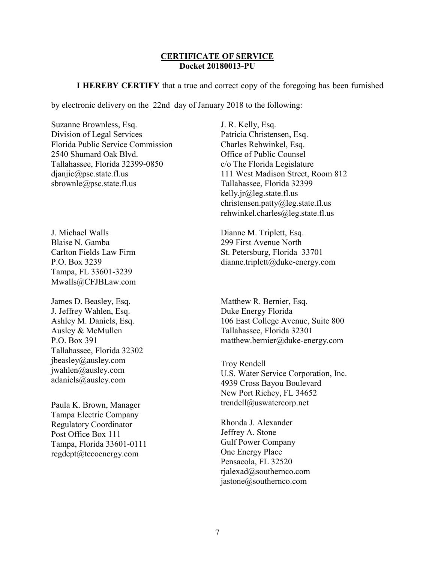#### **CERTIFICATE OF SERVICE Docket 20180013-PU**

**I HEREBY CERTIFY** that a true and correct copy of the foregoing has been furnished

by electronic delivery on the 22nd day of January 2018 to the following:

Suzanne Brownless, Esq. Division of Legal Services Florida Public Service Commission 2540 Shumard Oak Blvd. Tallahassee, Florida 32399-0850 djanjic@psc.state.fl.us sbrownle@psc.state.fl.us

J. Michael Walls Blaise N. Gamba Carlton Fields Law Firm P.O. Box 3239 Tampa, FL 33601-3239 Mwalls@CFJBLaw.com

James D. Beasley, Esq. J. Jeffrey Wahlen, Esq. Ashley M. Daniels, Esq. Ausley & McMullen P.O. Box 391 Tallahassee, Florida 32302 jbeasley@ausley.com jwahlen@ausley.com adaniels@ausley.com

Tampa Electric Company Regulatory Coordinator Post Office Box 111 Tampa, Florida 33601-0111 regdept@tecoenergy.com

J. R. Kelly, Esq. Patricia Christensen, Esq. Charles Rehwinkel, Esq. Office of Public Counsel c/o The Florida Legislature 111 West Madison Street, Room 812 Tallahassee, Florida 32399 kelly.jr@leg.state.fl.us christensen.patty@leg.state.fl.us rehwinkel.charles@leg.state.fl.us

Dianne M. Triplett, Esq. 299 First Avenue North St. Petersburg, Florida 33701 dianne.triplett@duke-energy.com

Matthew R. Bernier, Esq. Duke Energy Florida 106 East College Avenue, Suite 800 Tallahassee, Florida 32301 matthew.bernier@duke-energy.com

Troy Rendell U.S. Water Service Corporation, Inc. 4939 Cross Bayou Boulevard New Port Richey, FL 34652 Paula K. Brown, Manager trendell@uswatercorp.net

> Rhonda J. Alexander Jeffrey A. Stone Gulf Power Company One Energy Place Pensacola, FL 32520 rjalexad@southernco.com jastone@southernco.com